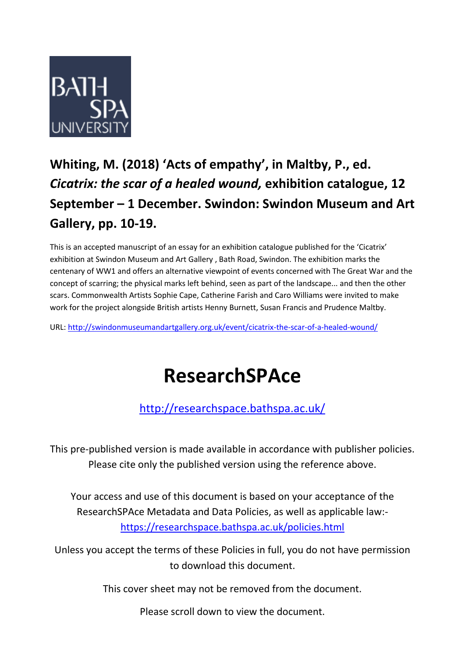

## **Whiting, M. (2018) 'Acts of empathy', in Maltby, P., ed.**  *Cicatrix: the scar of a healed wound,* **exhibition catalogue, 12 September – 1 December. Swindon: Swindon Museum and Art Gallery, pp. 10-19.**

This is an accepted manuscript of an essay for an exhibition catalogue published for the 'Cicatrix' exhibition at Swindon Museum and Art Gallery , Bath Road, Swindon. The exhibition marks the centenary of WW1 and offers an alternative viewpoint of events concerned with The Great War and the concept of scarring; the physical marks left behind, seen as part of the landscape... and then the other scars. Commonwealth Artists Sophie Cape, Catherine Farish and Caro Williams were invited to make work for the project alongside British artists Henny Burnett, Susan Francis and Prudence Maltby.

URL:<http://swindonmuseumandartgallery.org.uk/event/cicatrix-the-scar-of-a-healed-wound/>

## **ResearchSPAce**

<http://researchspace.bathspa.ac.uk/>

This pre-published version is made available in accordance with publisher policies. Please cite only the published version using the reference above.

Your access and use of this document is based on your acceptance of the ResearchSPAce Metadata and Data Policies, as well as applicable law: https://researchspace.bathspa.ac.uk/policies.html

Unless you accept the terms of these Policies in full, you do not have permission to download this document.

This cover sheet may not be removed from the document.

Please scroll down to view the document.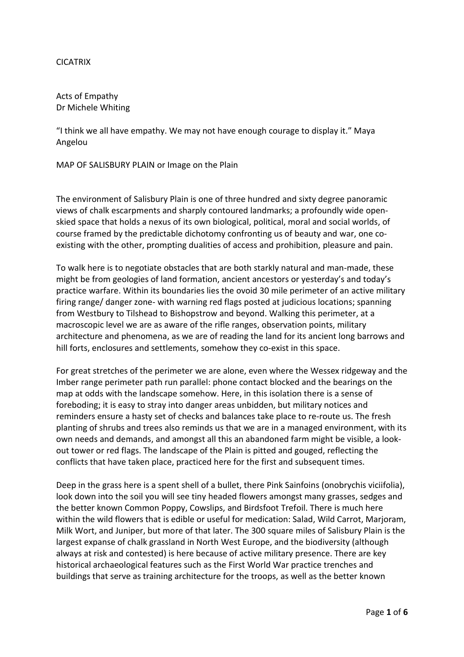## CICATRIX

Acts of Empathy Dr Michele Whiting

"I think we all have empathy. We may not have enough courage to display it." Maya Angelou

MAP OF SALISBURY PLAIN or Image on the Plain

The environment of Salisbury Plain is one of three hundred and sixty degree panoramic views of chalk escarpments and sharply contoured landmarks; a profoundly wide openskied space that holds a nexus of its own biological, political, moral and social worlds, of course framed by the predictable dichotomy confronting us of beauty and war, one coexisting with the other, prompting dualities of access and prohibition, pleasure and pain.

To walk here is to negotiate obstacles that are both starkly natural and man-made, these might be from geologies of land formation, ancient ancestors or yesterday's and today's practice warfare. Within its boundaries lies the ovoid 30 mile perimeter of an active military firing range/ danger zone- with warning red flags posted at judicious locations; spanning from Westbury to Tilshead to Bishopstrow and beyond. Walking this perimeter, at a macroscopic level we are as aware of the rifle ranges, observation points, military architecture and phenomena, as we are of reading the land for its ancient long barrows and hill forts, enclosures and settlements, somehow they co-exist in this space.

For great stretches of the perimeter we are alone, even where the Wessex ridgeway and the Imber range perimeter path run parallel: phone contact blocked and the bearings on the map at odds with the landscape somehow. Here, in this isolation there is a sense of foreboding; it is easy to stray into danger areas unbidden, but military notices and reminders ensure a hasty set of checks and balances take place to re-route us. The fresh planting of shrubs and trees also reminds us that we are in a managed environment, with its own needs and demands, and amongst all this an abandoned farm might be visible, a lookout tower or red flags. The landscape of the Plain is pitted and gouged, reflecting the conflicts that have taken place, practiced here for the first and subsequent times.

Deep in the grass here is a spent shell of a bullet, there Pink Sainfoins (onobrychis viciifolia), look down into the soil you will see tiny headed flowers amongst many grasses, sedges and the better known Common Poppy, Cowslips, and Birdsfoot Trefoil. There is much here within the wild flowers that is edible or useful for medication: Salad, Wild Carrot, Marjoram, Milk Wort, and Juniper, but more of that later. The 300 square miles of Salisbury Plain is the largest expanse of chalk grassland in North West Europe, and the biodiversity (although always at risk and contested) is here because of active military presence. There are key historical archaeological features such as the First World War practice trenches and buildings that serve as training architecture for the troops, as well as the better known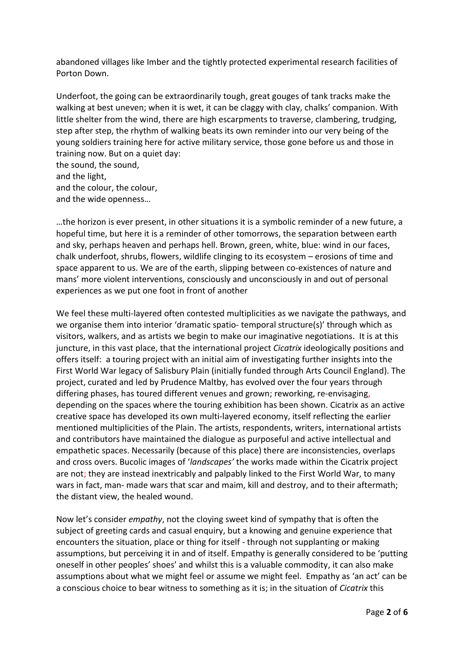abandoned villages like Imber and the tightly protected experimental research facilities of Porton Down.

Underfoot, the going can be extraordinarily tough, great gouges of tank tracks make the walking at best uneven; when it is wet, it can be claggy with clay, chalks' companion. With little shelter from the wind, there are high escarpments to traverse, clambering, trudging, step after step, the rhythm of walking beats its own reminder into our very being of the young soldiers training here for active military service, those gone before us and those in training now. But on a quiet day: the sound, the sound,

and the light,

and the colour, the colour,

and the wide openness…

…the horizon is ever present, in other situations it is a symbolic reminder of a new future, a hopeful time, but here it is a reminder of other tomorrows, the separation between earth and sky, perhaps heaven and perhaps hell. Brown, green, white, blue: wind in our faces, chalk underfoot, shrubs, flowers, wildlife clinging to its ecosystem – erosions of time and space apparent to us. We are of the earth, slipping between co-existences of nature and mans' more violent interventions, consciously and unconsciously in and out of personal experiences as we put one foot in front of another

We feel these multi-layered often contested multiplicities as we navigate the pathways, and we organise them into interior 'dramatic spatio- temporal structure(s)' through which as visitors, walkers, and as artists we begin to make our imaginative negotiations. It is at this juncture, in this vast place, that the international project *Cicatrix* ideologically positions and offers itself: a touring project with an initial aim of investigating further insights into the First World War legacy of Salisbury Plain (initially funded through Arts Council England). The project, curated and led by Prudence Maltby, has evolved over the four years through differing phases, has toured different venues and grown; reworking, re-envisaging, depending on the spaces where the touring exhibition has been shown. Cicatrix as an active creative space has developed its own multi-layered economy, itself reflecting the earlier mentioned multiplicities of the Plain. The artists, respondents, writers, international artists and contributors have maintained the dialogue as purposeful and active intellectual and empathetic spaces. Necessarily (because of this place) there are inconsistencies, overlaps and cross overs. Bucolic images of '*landscapes'* the works made within the Cicatrix project are not; they are instead inextricably and palpably linked to the First World War, to many wars in fact, man- made wars that scar and maim, kill and destroy, and to their aftermath; the distant view, the healed wound.

Now let's consider *empathy*, not the cloying sweet kind of sympathy that is often the subject of greeting cards and casual enquiry, but a knowing and genuine experience that encounters the situation, place or thing for itself - through not supplanting or making assumptions, but perceiving it in and of itself. Empathy is generally considered to be 'putting oneself in other peoples' shoes' and whilst this is a valuable commodity, it can also make assumptions about what we might feel or assume we might feel. Empathy as 'an act' can be a conscious choice to bear witness to something as it is; in the situation of *Cicatrix* this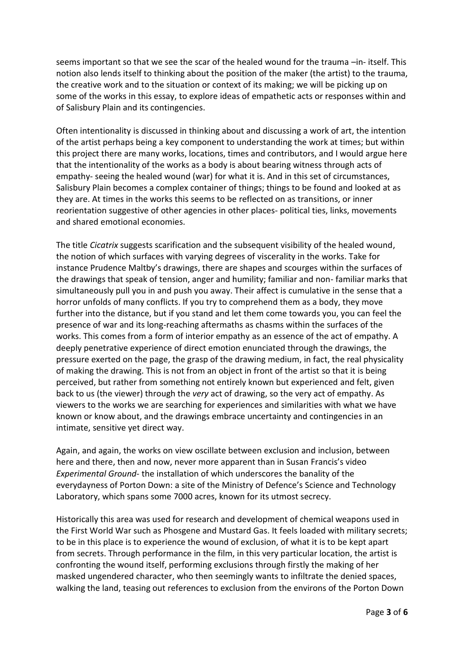seems important so that we see the scar of the healed wound for the trauma –in- itself. This notion also lends itself to thinking about the position of the maker (the artist) to the trauma, the creative work and to the situation or context of its making; we will be picking up on some of the works in this essay, to explore ideas of empathetic acts or responses within and of Salisbury Plain and its contingencies.

Often intentionality is discussed in thinking about and discussing a work of art, the intention of the artist perhaps being a key component to understanding the work at times; but within this project there are many works, locations, times and contributors, and I would argue here that the intentionality of the works as a body is about bearing witness through acts of empathy- seeing the healed wound (war) for what it is. And in this set of circumstances, Salisbury Plain becomes a complex container of things; things to be found and looked at as they are. At times in the works this seems to be reflected on as transitions, or inner reorientation suggestive of other agencies in other places- political ties, links, movements and shared emotional economies.

The title *Cicatrix* suggests scarification and the subsequent visibility of the healed wound, the notion of which surfaces with varying degrees of viscerality in the works. Take for instance Prudence Maltby's drawings, there are shapes and scourges within the surfaces of the drawings that speak of tension, anger and humility; familiar and non- familiar marks that simultaneously pull you in and push you away. Their affect is cumulative in the sense that a horror unfolds of many conflicts. If you try to comprehend them as a body, they move further into the distance, but if you stand and let them come towards you, you can feel the presence of war and its long-reaching aftermaths as chasms within the surfaces of the works. This comes from a form of interior empathy as an essence of the act of empathy. A deeply penetrative experience of direct emotion enunciated through the drawings, the pressure exerted on the page, the grasp of the drawing medium, in fact, the real physicality of making the drawing. This is not from an object in front of the artist so that it is being perceived, but rather from something not entirely known but experienced and felt, given back to us (the viewer) through the *very* act of drawing, so the very act of empathy. As viewers to the works we are searching for experiences and similarities with what we have known or know about, and the drawings embrace uncertainty and contingencies in an intimate, sensitive yet direct way.

Again, and again, the works on view oscillate between exclusion and inclusion, between here and there, then and now, never more apparent than in Susan Francis's video *Experimental Ground*- the installation of which underscores the banality of the everydayness of Porton Down: a site of the Ministry of Defence's Science and Technology Laboratory, which spans some 7000 acres, known for its utmost secrecy.

Historically this area was used for research and development of chemical weapons used in the First World War such as Phosgene and Mustard Gas. It feels loaded with military secrets; to be in this place is to experience the wound of exclusion, of what it is to be kept apart from secrets. Through performance in the film, in this very particular location, the artist is confronting the wound itself, performing exclusions through firstly the making of her masked ungendered character, who then seemingly wants to infiltrate the denied spaces, walking the land, teasing out references to exclusion from the environs of the Porton Down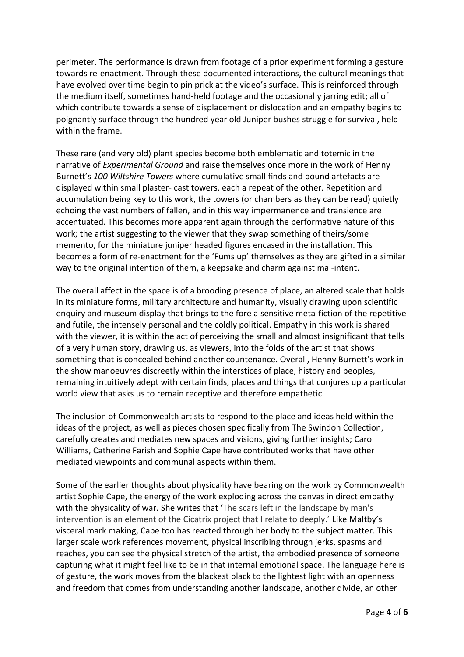perimeter. The performance is drawn from footage of a prior experiment forming a gesture towards re-enactment. Through these documented interactions, the cultural meanings that have evolved over time begin to pin prick at the video's surface. This is reinforced through the medium itself, sometimes hand-held footage and the occasionally jarring edit; all of which contribute towards a sense of displacement or dislocation and an empathy begins to poignantly surface through the hundred year old Juniper bushes struggle for survival, held within the frame.

These rare (and very old) plant species become both emblematic and totemic in the narrative of *Experimental Ground* and raise themselves once more in the work of Henny Burnett's *100 Wiltshire Towers* where cumulative small finds and bound artefacts are displayed within small plaster- cast towers, each a repeat of the other. Repetition and accumulation being key to this work, the towers (or chambers as they can be read) quietly echoing the vast numbers of fallen, and in this way impermanence and transience are accentuated. This becomes more apparent again through the performative nature of this work; the artist suggesting to the viewer that they swap something of theirs/some memento, for the miniature juniper headed figures encased in the installation. This becomes a form of re-enactment for the 'Fums up' themselves as they are gifted in a similar way to the original intention of them, a keepsake and charm against mal-intent.

The overall affect in the space is of a brooding presence of place, an altered scale that holds in its miniature forms, military architecture and humanity, visually drawing upon scientific enquiry and museum display that brings to the fore a sensitive meta-fiction of the repetitive and futile, the intensely personal and the coldly political. Empathy in this work is shared with the viewer, it is within the act of perceiving the small and almost insignificant that tells of a very human story, drawing us, as viewers, into the folds of the artist that shows something that is concealed behind another countenance. Overall, Henny Burnett's work in the show manoeuvres discreetly within the interstices of place, history and peoples, remaining intuitively adept with certain finds, places and things that conjures up a particular world view that asks us to remain receptive and therefore empathetic.

The inclusion of Commonwealth artists to respond to the place and ideas held within the ideas of the project, as well as pieces chosen specifically from The Swindon Collection, carefully creates and mediates new spaces and visions, giving further insights; Caro Williams, Catherine Farish and Sophie Cape have contributed works that have other mediated viewpoints and communal aspects within them.

Some of the earlier thoughts about physicality have bearing on the work by Commonwealth artist Sophie Cape, the energy of the work exploding across the canvas in direct empathy with the physicality of war. She writes that 'The scars left in the landscape by man's intervention is an element of the Cicatrix project that I relate to deeply.' Like Maltby's visceral mark making, Cape too has reacted through her body to the subject matter. This larger scale work references movement, physical inscribing through jerks, spasms and reaches, you can see the physical stretch of the artist, the embodied presence of someone capturing what it might feel like to be in that internal emotional space. The language here is of gesture, the work moves from the blackest black to the lightest light with an openness and freedom that comes from understanding another landscape, another divide, an other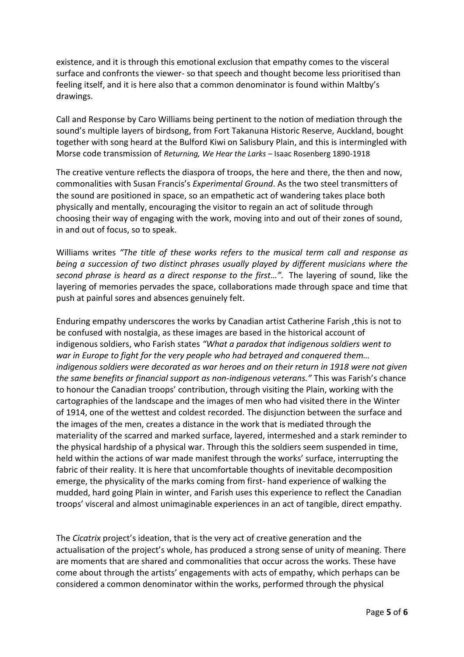existence, and it is through this emotional exclusion that empathy comes to the visceral surface and confronts the viewer- so that speech and thought become less prioritised than feeling itself, and it is here also that a common denominator is found within Maltby's drawings.

Call and Response by Caro Williams being pertinent to the notion of mediation through the sound's multiple layers of birdsong, from Fort Takanuna Historic Reserve, Auckland, bought together with song heard at the Bulford Kiwi on Salisbury Plain, and this is intermingled with Morse code transmission of *Returning, We Hear the Larks –* Isaac Rosenberg 1890-1918

The creative venture reflects the diaspora of troops, the here and there, the then and now, commonalities with Susan Francis's *Experimental Ground*. As the two steel transmitters of the sound are positioned in space, so an empathetic act of wandering takes place both physically and mentally, encouraging the visitor to regain an act of solitude through choosing their way of engaging with the work, moving into and out of their zones of sound, in and out of focus, so to speak.

Williams writes *"The title of these works refers to the musical term call and response as being a succession of two distinct phrases usually played by different musicians where the second phrase is heard as a direct response to the first…".* The layering of sound, like the layering of memories pervades the space, collaborations made through space and time that push at painful sores and absences genuinely felt.

Enduring empathy underscores the works by Canadian artist Catherine Farish ,this is not to be confused with nostalgia, as these images are based in the historical account of indigenous soldiers, who Farish states *"What a paradox that indigenous soldiers went to war in Europe to fight for the very people who had betrayed and conquered them… indigenous soldiers were decorated as war heroes and on their return in 1918 were not given the same benefits or financial support as non-indigenous veterans."* This was Farish's chance to honour the Canadian troops' contribution, through visiting the Plain, working with the cartographies of the landscape and the images of men who had visited there in the Winter of 1914, one of the wettest and coldest recorded. The disjunction between the surface and the images of the men, creates a distance in the work that is mediated through the materiality of the scarred and marked surface, layered, intermeshed and a stark reminder to the physical hardship of a physical war. Through this the soldiers seem suspended in time, held within the actions of war made manifest through the works' surface, interrupting the fabric of their reality. It is here that uncomfortable thoughts of inevitable decomposition emerge, the physicality of the marks coming from first- hand experience of walking the mudded, hard going Plain in winter, and Farish uses this experience to reflect the Canadian troops' visceral and almost unimaginable experiences in an act of tangible, direct empathy.

The *Cicatrix* project's ideation, that is the very act of creative generation and the actualisation of the project's whole, has produced a strong sense of unity of meaning. There are moments that are shared and commonalities that occur across the works. These have come about through the artists' engagements with acts of empathy, which perhaps can be considered a common denominator within the works, performed through the physical